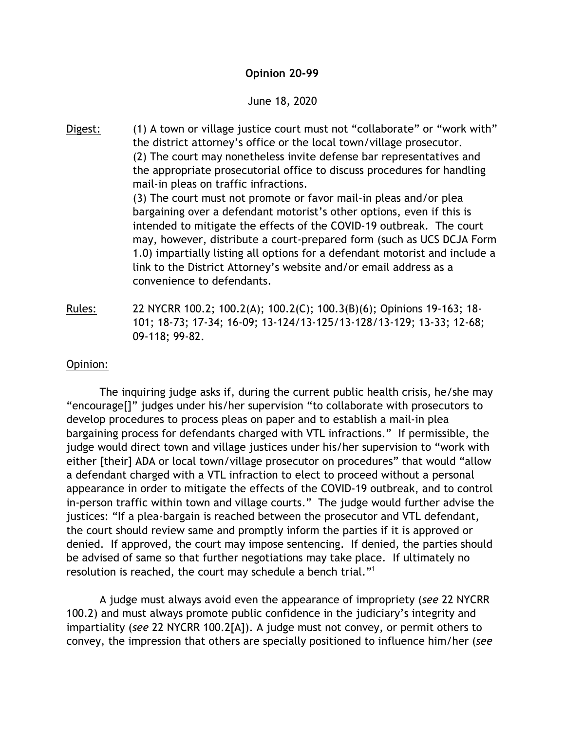# **Opinion 20-99**

# June 18, 2020

Digest: (1) A town or village justice court must not "collaborate" or "work with" the district attorney's office or the local town/village prosecutor. (2) The court may nonetheless invite defense bar representatives and the appropriate prosecutorial office to discuss procedures for handling mail-in pleas on traffic infractions. (3) The court must not promote or favor mail-in pleas and/or plea bargaining over a defendant motorist's other options, even if this is intended to mitigate the effects of the COVID-19 outbreak. The court may, however, distribute a court-prepared form (such as UCS DCJA Form 1.0) impartially listing all options for a defendant motorist and include a link to the District Attorney's website and/or email address as a convenience to defendants.

Rules: 22 NYCRR 100.2; 100.2(A); 100.2(C); 100.3(B)(6); Opinions 19-163; 18- 101; 18-73; 17-34; 16-09; 13-124/13-125/13-128/13-129; 13-33; 12-68; 09-118; 99-82.

### Opinion:

The inquiring judge asks if, during the current public health crisis, he/she may "encourage[]" judges under his/her supervision "to collaborate with prosecutors to develop procedures to process pleas on paper and to establish a mail-in plea bargaining process for defendants charged with VTL infractions." If permissible, the judge would direct town and village justices under his/her supervision to "work with either [their] ADA or local town/village prosecutor on procedures" that would "allow a defendant charged with a VTL infraction to elect to proceed without a personal appearance in order to mitigate the effects of the COVID-19 outbreak, and to control in-person traffic within town and village courts." The judge would further advise the justices: "If a plea-bargain is reached between the prosecutor and VTL defendant, the court should review same and promptly inform the parties if it is approved or denied. If approved, the court may impose sentencing. If denied, the parties should be advised of same so that further negotiations may take place. If ultimately no resolution is reached, the court may schedule a bench trial."<sup>1</sup>

A judge must always avoid even the appearance of impropriety (*see* 22 NYCRR 100.2) and must always promote public confidence in the judiciary's integrity and impartiality (*see* 22 NYCRR 100.2[A]). A judge must not convey, or permit others to convey, the impression that others are specially positioned to influence him/her (*see*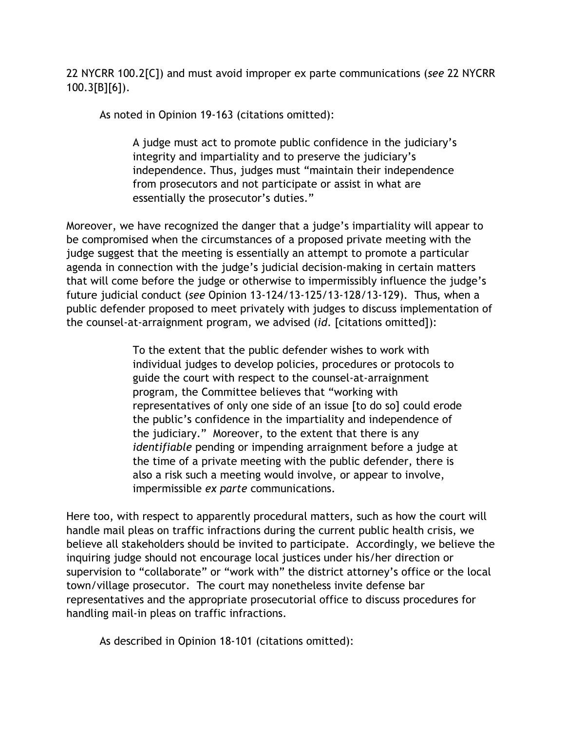22 NYCRR 100.2[C]) and must avoid improper ex parte communications (*see* 22 NYCRR 100.3[B][6]).

As noted in Opinion 19-163 (citations omitted):

A judge must act to promote public confidence in the judiciary's integrity and impartiality and to preserve the judiciary's independence. Thus, judges must "maintain their independence from prosecutors and not participate or assist in what are essentially the prosecutor's duties."

Moreover, we have recognized the danger that a judge's impartiality will appear to be compromised when the circumstances of a proposed private meeting with the judge suggest that the meeting is essentially an attempt to promote a particular agenda in connection with the judge's judicial decision-making in certain matters that will come before the judge or otherwise to impermissibly influence the judge's future judicial conduct (*see* Opinion 13-124/13-125/13-128/13-129). Thus, when a public defender proposed to meet privately with judges to discuss implementation of the counsel-at-arraignment program, we advised (*id*. [citations omitted]):

> To the extent that the public defender wishes to work with individual judges to develop policies, procedures or protocols to guide the court with respect to the counsel-at-arraignment program, the Committee believes that "working with representatives of only one side of an issue [to do so] could erode the public's confidence in the impartiality and independence of the judiciary." Moreover, to the extent that there is any *identifiable* pending or impending arraignment before a judge at the time of a private meeting with the public defender, there is also a risk such a meeting would involve, or appear to involve, impermissible *ex parte* communications.

Here too, with respect to apparently procedural matters, such as how the court will handle mail pleas on traffic infractions during the current public health crisis, we believe all stakeholders should be invited to participate. Accordingly, we believe the inquiring judge should not encourage local justices under his/her direction or supervision to "collaborate" or "work with" the district attorney's office or the local town/village prosecutor. The court may nonetheless invite defense bar representatives and the appropriate prosecutorial office to discuss procedures for handling mail-in pleas on traffic infractions.

As described in Opinion 18-101 (citations omitted):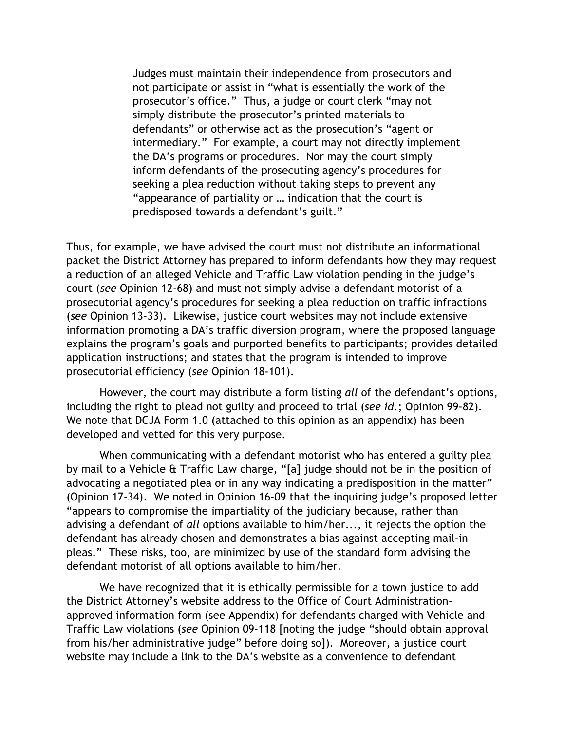Judges must maintain their independence from prosecutors and not participate or assist in "what is essentially the work of the prosecutor's office." Thus, a judge or court clerk "may not simply distribute the prosecutor's printed materials to defendants" or otherwise act as the prosecution's "agent or intermediary." For example, a court may not directly implement the DA's programs or procedures. Nor may the court simply inform defendants of the prosecuting agency's procedures for seeking a plea reduction without taking steps to prevent any "appearance of partiality or … indication that the court is predisposed towards a defendant's guilt."

Thus, for example, we have advised the court must not distribute an informational packet the District Attorney has prepared to inform defendants how they may request a reduction of an alleged Vehicle and Traffic Law violation pending in the judge's court (*see* Opinion 12-68) and must not simply advise a defendant motorist of a prosecutorial agency's procedures for seeking a plea reduction on traffic infractions (*see* Opinion 13-33). Likewise, justice court websites may not include extensive information promoting a DA's traffic diversion program, where the proposed language explains the program's goals and purported benefits to participants; provides detailed application instructions; and states that the program is intended to improve prosecutorial efficiency (*see* Opinion 18-101).

However, the court may distribute a form listing *all* of the defendant's options, including the right to plead not guilty and proceed to trial (*see id.*; Opinion 99-82). We note that DCJA Form 1.0 (attached to this opinion as an appendix) has been developed and vetted for this very purpose.

When communicating with a defendant motorist who has entered a guilty plea by mail to a Vehicle & Traffic Law charge, "[a] judge should not be in the position of advocating a negotiated plea or in any way indicating a predisposition in the matter" (Opinion 17-34). We noted in Opinion 16-09 that the inquiring judge's proposed letter "appears to compromise the impartiality of the judiciary because, rather than advising a defendant of *all* options available to him/her..., it rejects the option the defendant has already chosen and demonstrates a bias against accepting mail-in pleas." These risks, too, are minimized by use of the standard form advising the defendant motorist of all options available to him/her.

We have recognized that it is ethically permissible for a town justice to add the District Attorney's website address to the Office of Court Administrationapproved information form (see Appendix) for defendants charged with Vehicle and Traffic Law violations (*see* Opinion 09-118 [noting the judge "should obtain approval from his/her administrative judge" before doing so]). Moreover, a justice court website may include a link to the DA's website as a convenience to defendant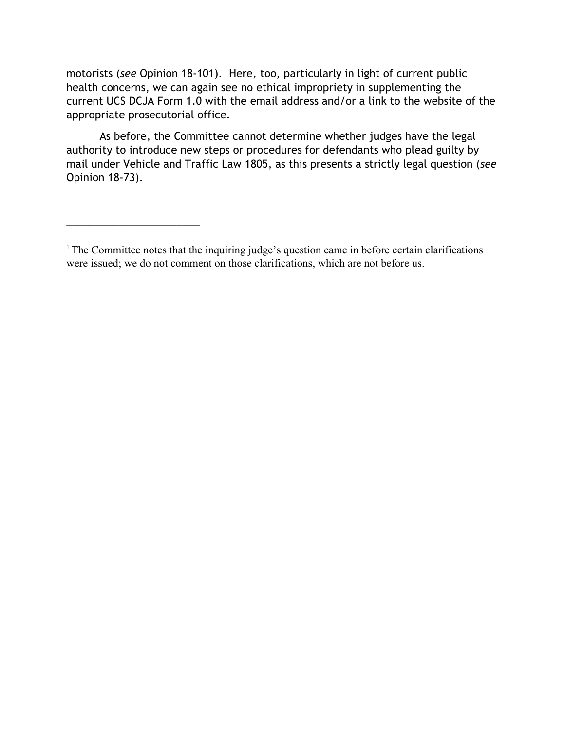motorists (*see* Opinion 18-101). Here, too, particularly in light of current public health concerns, we can again see no ethical impropriety in supplementing the current UCS DCJA Form 1.0 with the email address and/or a link to the website of the appropriate prosecutorial office.

As before, the Committee cannot determine whether judges have the legal authority to introduce new steps or procedures for defendants who plead guilty by mail under Vehicle and Traffic Law 1805, as this presents a strictly legal question (*see* Opinion 18-73).

\_\_\_\_\_\_\_\_\_\_\_\_\_\_\_\_\_\_\_\_\_\_\_

<sup>&</sup>lt;sup>1</sup> The Committee notes that the inquiring judge's question came in before certain clarifications were issued; we do not comment on those clarifications, which are not before us.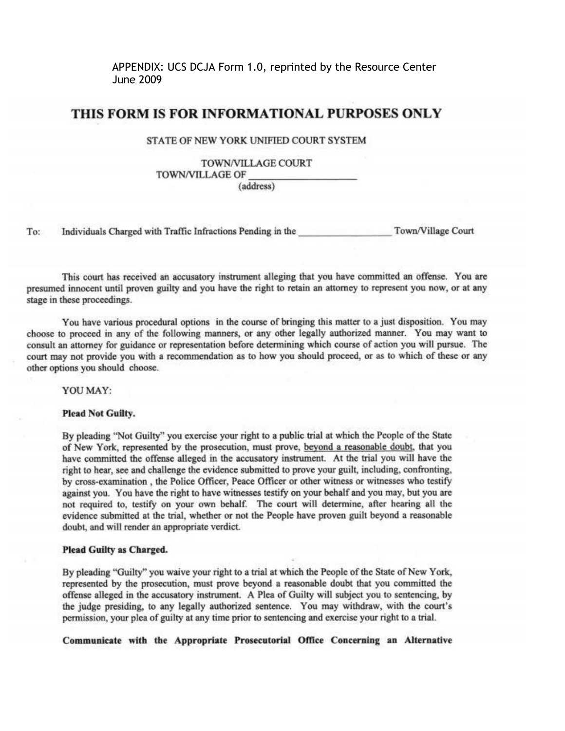# APPENDIX: UCS DCJA Form 1.0, reprinted by the Resource Center **June 2009**

# THIS FORM IS FOR INFORMATIONAL PURPOSES ONLY

### STATE OF NEW YORK UNIFIED COURT SYSTEM

**TOWN/VILLAGE COURT TOWN/VILLAGE OF** 

(address)

Individuals Charged with Traffic Infractions Pending in the Town/Village Court To:

This court has received an accusatory instrument alleging that you have committed an offense. You are presumed innocent until proven guilty and you have the right to retain an attorney to represent you now, or at any stage in these proceedings.

You have various procedural options in the course of bringing this matter to a just disposition. You may choose to proceed in any of the following manners, or any other legally authorized manner. You may want to consult an attorney for guidance or representation before determining which course of action you will pursue. The court may not provide you with a recommendation as to how you should proceed, or as to which of these or any other options you should choose.

YOU MAY:

#### **Plead Not Guilty.**

By pleading "Not Guilty" you exercise your right to a public trial at which the People of the State of New York, represented by the prosecution, must prove, beyond a reasonable doubt, that you have committed the offense alleged in the accusatory instrument. At the trial you will have the right to hear, see and challenge the evidence submitted to prove your guilt, including, confronting, by cross-examination, the Police Officer, Peace Officer or other witness or witnesses who testify against you. You have the right to have witnesses testify on your behalf and you may, but you are not required to, testify on your own behalf. The court will determine, after hearing all the evidence submitted at the trial, whether or not the People have proven guilt beyond a reasonable doubt, and will render an appropriate verdict.

**Plead Guilty as Charged.** 

By pleading "Guilty" you waive your right to a trial at which the People of the State of New York, represented by the prosecution, must prove beyond a reasonable doubt that you committed the offense alleged in the accusatory instrument. A Plea of Guilty will subject you to sentencing, by the judge presiding, to any legally authorized sentence. You may withdraw, with the court's permission, your plea of guilty at any time prior to sentencing and exercise your right to a trial.

Communicate with the Appropriate Prosecutorial Office Concerning an Alternative